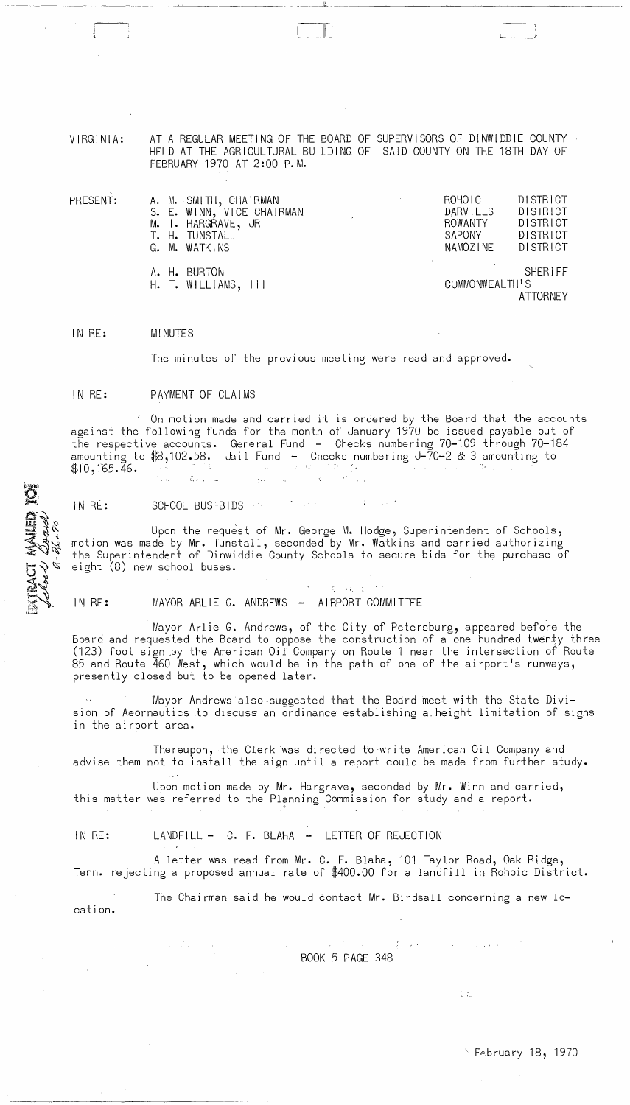VIRGINIA: AT A REGULAR MEETING OF THE BOARD OF SUPERVISORS OF DINWIDDIE COUNTY HELD AT THE AGRICULTURAL BUILDING OF SAID COUNTY ON THE 18TH DAY OF FEBRUARY 1970 AT 2:00 P.M.

 $\overline{\phantom{a}}$ 

| PRESENT: | A. M. SMITH, CHAIRMAN<br>S. E. WINN, VICE CHAIRMAN<br>M. I. HARGRAVE, JR<br>T. H. TUNSTALL<br>G. M. WATKINS | DISTRICT<br>ROHOIC<br>$\sim$<br>DISTRICT<br><b>DARVILLS</b><br>DISTRICT<br><b>ROWANTY</b><br>DISTRICT<br>SAPONY<br>DISTRICT<br>NAMOZINE |
|----------|-------------------------------------------------------------------------------------------------------------|-----------------------------------------------------------------------------------------------------------------------------------------|
|          | A. H. BURTON<br>$H.$ T. WILLIAMS, $111$                                                                     | <b>SHERIFF</b><br>CUMMONWEALTH'S<br>ATTORNEY                                                                                            |

IN RE: MINUTES

The minutes of the previous meeting were read and approved.

IN RE: PAYMENT OF CLAIMS

/ On motion made and carried it is ordered by the Board that the accounts against the following funds for the month of January 1970 be issued payable out of the respective accounts. General Fund - Checks numbering 70-109 through 70-184 amounting to \$8,102.58. Jail Fund - Checks numbering J-70-2 & 3 amounting to  $$10, 165.46.$  $\mathcal{L}_{\mathcal{F},\mathcal{F}}$  . Let  $\mathcal{L}_{\mathcal{F}}$  $\mathcal{A}^{\pm}$ 

IN RE: SCHOOL BUS ENDS of the state of the state

 $\langle\cdot,\cdot\rangle$  $\sim 100$ 

Upon the request of Mr. George M. Hodge, Superintendent of Schools, motion was made by Mr. Tunstall, seconded by Mr. Watkins and carried authorizing the Superintendent of Dinwiddie County Schools to secure bids for the purchase of eight (8) new school buses.

EXTRACT MAILED TOP

IN RE: MAYOR ARLIE G. ANDREWS - AIRPORT COMMITTEE

Mayor Arlie G. Andrews, of the City of Petersburg, appeared before the Board and requested the Board to oppose the construction of a one hundred twenty three (123) foot sign by the American Oil Company on Route 1 near the intersection of Route 85 and Route 460 West, which would be in the path of one of the airport's runways, presently closed but to be opened later.

't. :

Mayor Andrews also-suggested that· the Board meet with the State Division of Aeornautics to discuss an ordinance establishing a height limitation of signs in the airport area.

Thereupon, the Clerk was directed to write American Oil Company and advise them not to install the sign until a report could be made from furkher study.

Upon motion made by Mr. Hargrave, seconded by Mr. Winn and carried, this matter was referred to the Planning Commission for study and a report.

## IN RE: LANDFILL - C. F. BLAHA - LETTER OF REJECTION

A letter was read from Mr. C. F. Blaha, 101 Taylor Road, Oak Ridge, Tenn. rejecting a proposed annual rate of \$400.00 for a landfill in Rohoic District.

The Chairman said he would contact Mr. Birdsall concerning a new 10 cation.

> げいぶい BOOK 5 PAGE 348

> > $\sim 10$